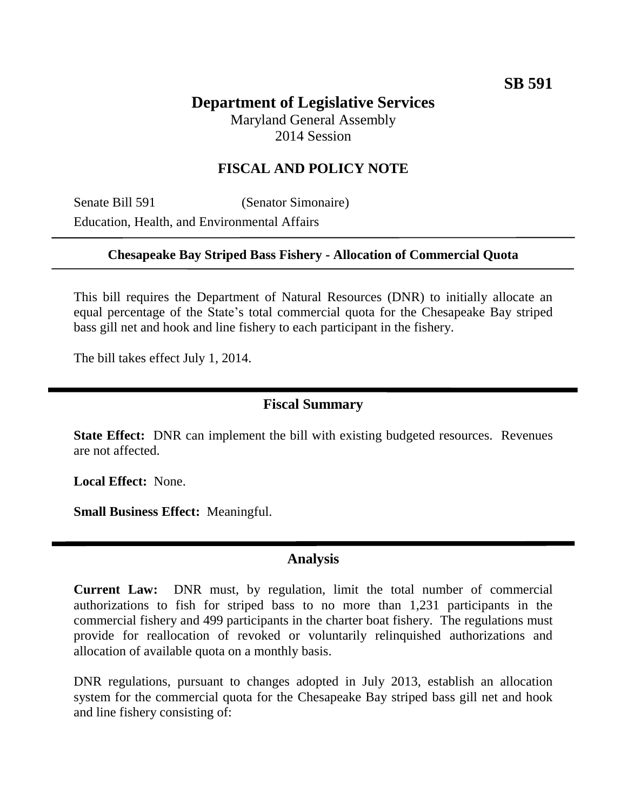# **Department of Legislative Services**

Maryland General Assembly 2014 Session

## **FISCAL AND POLICY NOTE**

Senate Bill 591 (Senator Simonaire) Education, Health, and Environmental Affairs

#### **Chesapeake Bay Striped Bass Fishery - Allocation of Commercial Quota**

This bill requires the Department of Natural Resources (DNR) to initially allocate an equal percentage of the State's total commercial quota for the Chesapeake Bay striped bass gill net and hook and line fishery to each participant in the fishery.

The bill takes effect July 1, 2014.

### **Fiscal Summary**

**State Effect:** DNR can implement the bill with existing budgeted resources. Revenues are not affected.

**Local Effect:** None.

**Small Business Effect:** Meaningful.

#### **Analysis**

**Current Law:** DNR must, by regulation, limit the total number of commercial authorizations to fish for striped bass to no more than 1,231 participants in the commercial fishery and 499 participants in the charter boat fishery. The regulations must provide for reallocation of revoked or voluntarily relinquished authorizations and allocation of available quota on a monthly basis.

DNR regulations, pursuant to changes adopted in July 2013, establish an allocation system for the commercial quota for the Chesapeake Bay striped bass gill net and hook and line fishery consisting of: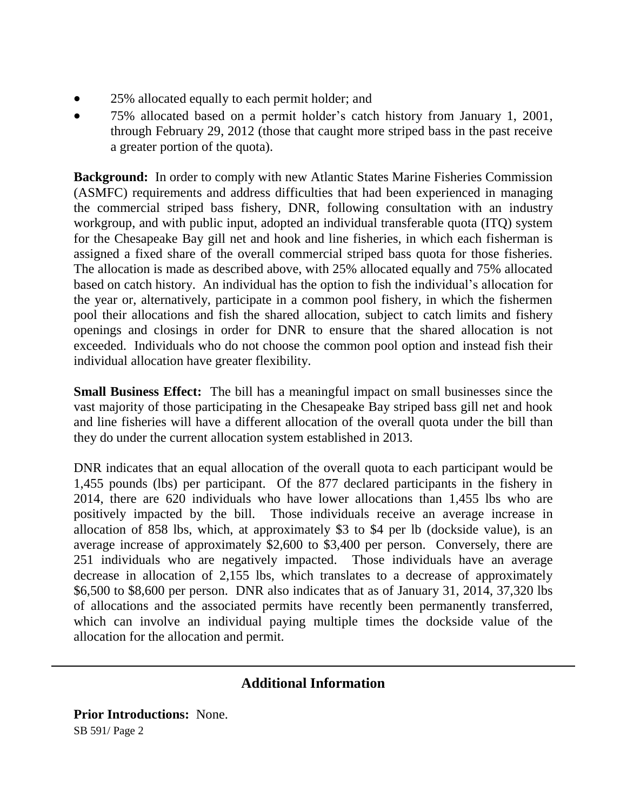- 25% allocated equally to each permit holder; and
- 75% allocated based on a permit holder's catch history from January 1, 2001, through February 29, 2012 (those that caught more striped bass in the past receive a greater portion of the quota).

**Background:** In order to comply with new Atlantic States Marine Fisheries Commission (ASMFC) requirements and address difficulties that had been experienced in managing the commercial striped bass fishery, DNR, following consultation with an industry workgroup, and with public input, adopted an individual transferable quota (ITQ) system for the Chesapeake Bay gill net and hook and line fisheries, in which each fisherman is assigned a fixed share of the overall commercial striped bass quota for those fisheries. The allocation is made as described above, with 25% allocated equally and 75% allocated based on catch history. An individual has the option to fish the individual's allocation for the year or, alternatively, participate in a common pool fishery, in which the fishermen pool their allocations and fish the shared allocation, subject to catch limits and fishery openings and closings in order for DNR to ensure that the shared allocation is not exceeded. Individuals who do not choose the common pool option and instead fish their individual allocation have greater flexibility.

**Small Business Effect:** The bill has a meaningful impact on small businesses since the vast majority of those participating in the Chesapeake Bay striped bass gill net and hook and line fisheries will have a different allocation of the overall quota under the bill than they do under the current allocation system established in 2013.

DNR indicates that an equal allocation of the overall quota to each participant would be 1,455 pounds (lbs) per participant. Of the 877 declared participants in the fishery in 2014, there are 620 individuals who have lower allocations than 1,455 lbs who are positively impacted by the bill. Those individuals receive an average increase in allocation of 858 lbs, which, at approximately \$3 to \$4 per lb (dockside value), is an average increase of approximately \$2,600 to \$3,400 per person. Conversely, there are 251 individuals who are negatively impacted. Those individuals have an average decrease in allocation of 2,155 lbs, which translates to a decrease of approximately \$6,500 to \$8,600 per person. DNR also indicates that as of January 31, 2014, 37,320 lbs of allocations and the associated permits have recently been permanently transferred, which can involve an individual paying multiple times the dockside value of the allocation for the allocation and permit.

# **Additional Information**

SB 591/ Page 2 **Prior Introductions:** None.